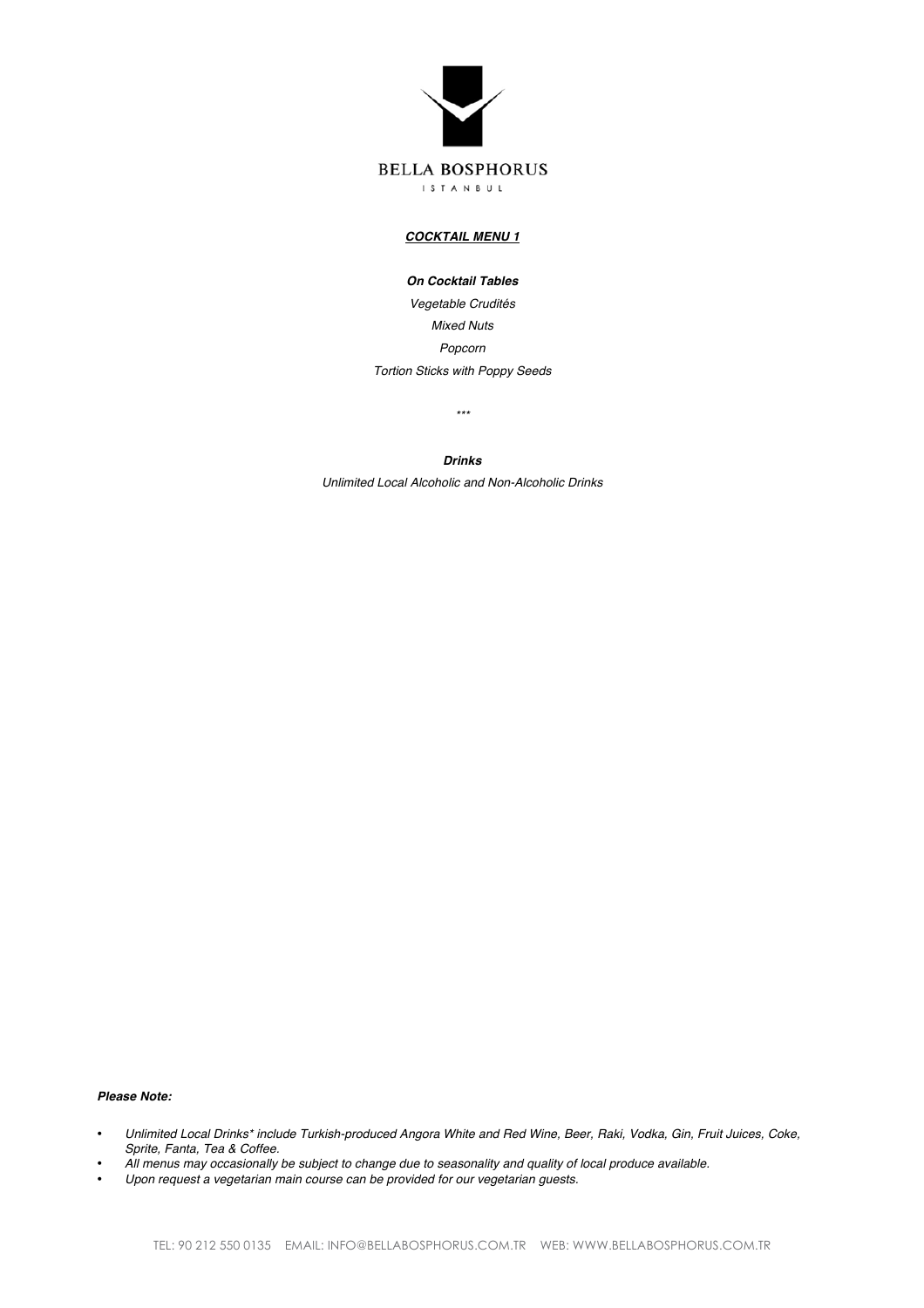

# *COCKTAIL MENU 1*

*On Cocktail Tables*

*Vegetable Crudités Mixed Nuts Popcorn Tortion Sticks with Poppy Seeds*

*\*\*\**

*Drinks*

*Unlimited Local Alcoholic and Non-Alcoholic Drinks*

## *Please Note:*

- *Unlimited Local Drinks\* include Turkish-produced Angora White and Red Wine, Beer, Raki, Vodka, Gin, Fruit Juices, Coke, Sprite, Fanta, Tea & Coffee.*
- *All menus may occasionally be subject to change due to seasonality and quality of local produce available.*
- *Upon request a vegetarian main course can be provided for our vegetarian guests.*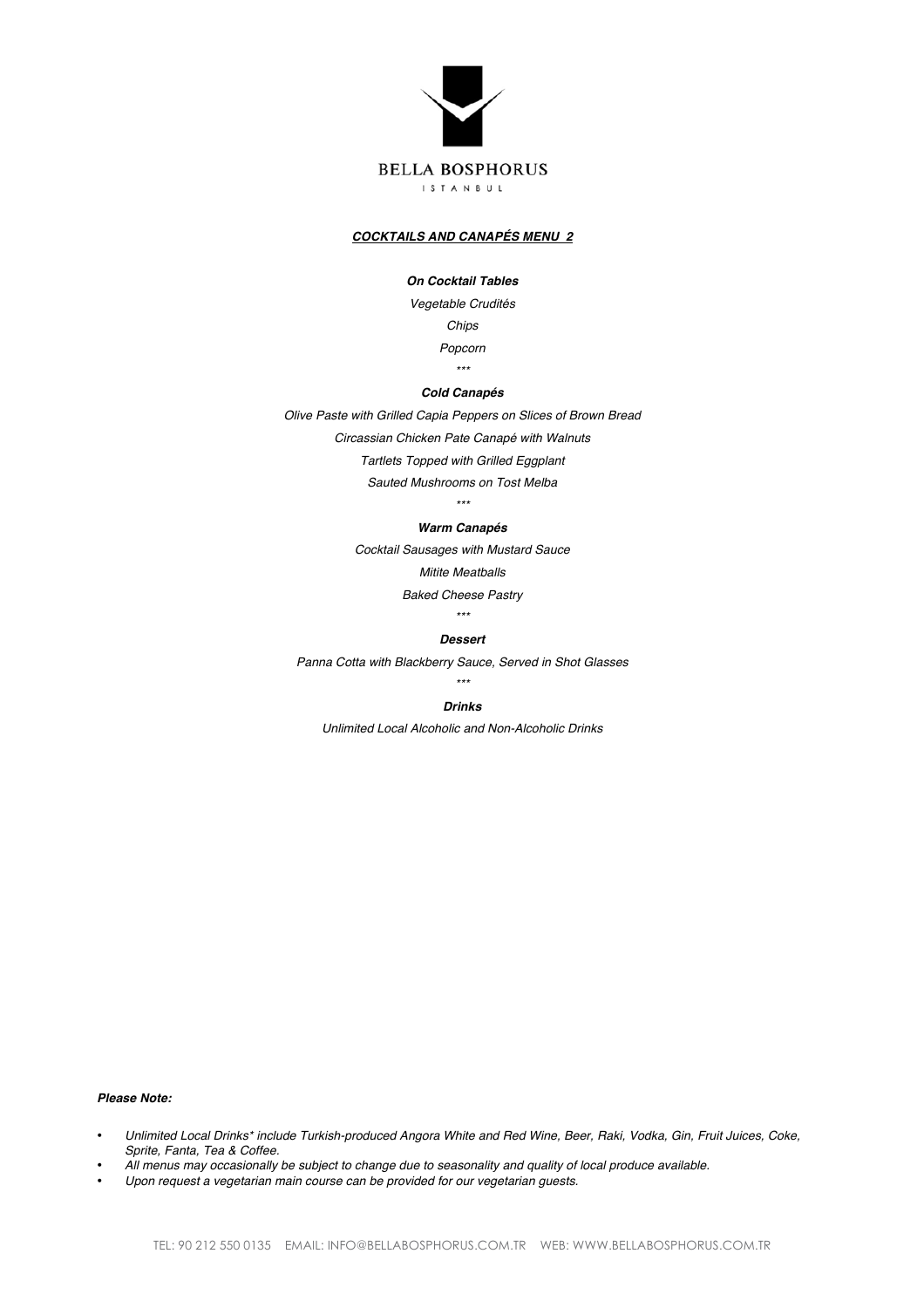

## *COCKTAILS AND CANAPÉS MENU 2*

# *On Cocktail Tables*

*Vegetable Crudités Chips Popcorn \*\*\**

# *Cold Canapés*

*Olive Paste with Grilled Capia Peppers on Slices of Brown Bread*

*Circassian Chicken Pate Canapé with Walnuts*

*Tartlets Topped with Grilled Eggplant*

*Sauted Mushrooms on Tost Melba*

*\*\*\**

#### *Warm Canapés*

*Cocktail Sausages with Mustard Sauce Mitite Meatballs*

*Baked Cheese Pastry*

*\*\*\**

# *Dessert*

*Panna Cotta with Blackberry Sauce, Served in Shot Glasses \*\*\**

# *Drinks*

*Unlimited Local Alcoholic and Non-Alcoholic Drinks*

*Please Note:*

- *Unlimited Local Drinks\* include Turkish-produced Angora White and Red Wine, Beer, Raki, Vodka, Gin, Fruit Juices, Coke, Sprite, Fanta, Tea & Coffee.*
- *All menus may occasionally be subject to change due to seasonality and quality of local produce available.*
- *Upon request a vegetarian main course can be provided for our vegetarian guests.*